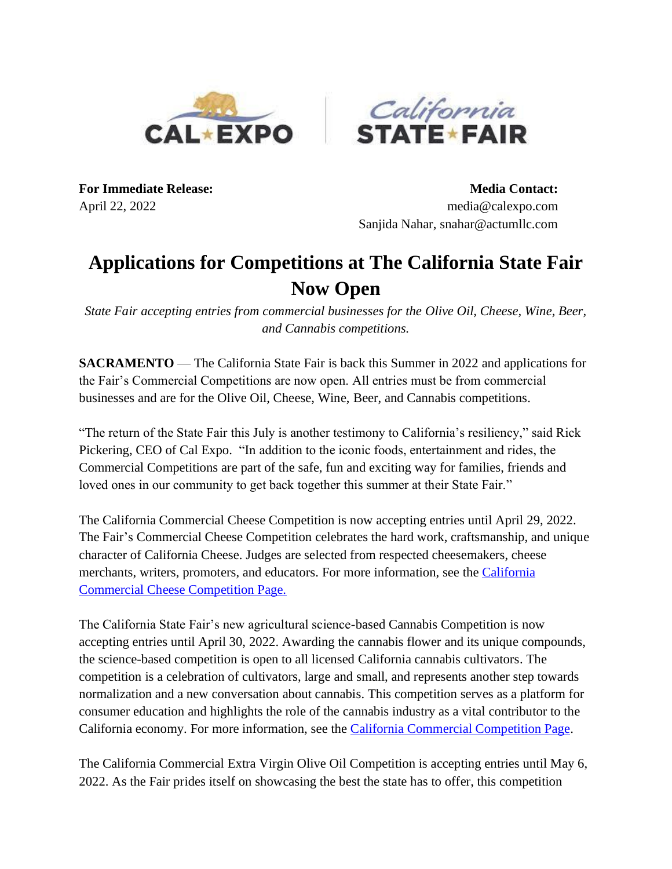



**For Immediate Release: Media Contact:** April 22, 2022 media@calexpo.com Sanjida Nahar, snahar@actumllc.com

## **Applications for Competitions at The California State Fair Now Open**

*State Fair accepting entries from commercial businesses for the Olive Oil, Cheese, Wine, Beer, and Cannabis competitions.*

**SACRAMENTO** — The California State Fair is back this Summer in 2022 and applications for the Fair's Commercial Competitions are now open. All entries must be from commercial businesses and are for the Olive Oil, Cheese, Wine, Beer, and Cannabis competitions.

"The return of the State Fair this July is another testimony to California's resiliency," said Rick Pickering, CEO of Cal Expo. "In addition to the iconic foods, entertainment and rides, the Commercial Competitions are part of the safe, fun and exciting way for families, friends and loved ones in our community to get back together this summer at their State Fair."

The California Commercial Cheese Competition is now accepting entries until April 29, 2022. The Fair's Commercial Cheese Competition celebrates the hard work, craftsmanship, and unique character of California Cheese. Judges are selected from respected cheesemakers, cheese merchants, writers, promoters, and educators. For more information, see the *California* [Commercial Cheese Competition Page.](https://calexpostatefair.com/california-commercial-cheese/)

The California State Fair's new agricultural science-based Cannabis Competition is now accepting entries until April 30, 2022. Awarding the cannabis flower and its unique compounds, the science-based competition is open to all licensed California cannabis cultivators. The competition is a celebration of cultivators, large and small, and represents another step towards normalization and a new conversation about cannabis. This competition serves as a platform for consumer education and highlights the role of the cannabis industry as a vital contributor to the California economy. For more information, see the [California Commercial Competition Page.](https://calexpostatefair.com/participate/competitions/california-cannabis/)

The California Commercial Extra Virgin Olive Oil Competition is accepting entries until May 6, 2022. As the Fair prides itself on showcasing the best the state has to offer, this competition